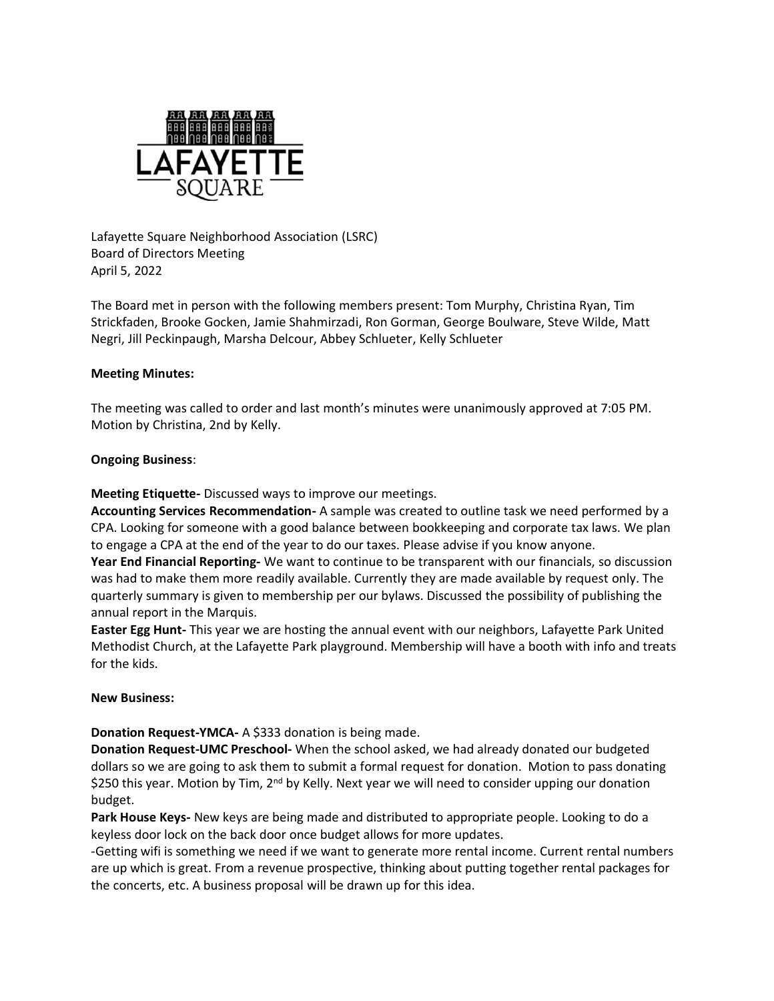

Lafayette Square Neighborhood Association (LSRC) Board of Directors Meeting April 5, 2022

The Board met in person with the following members present: Tom Murphy, Christina Ryan, Tim Strickfaden, Brooke Gocken, Jamie Shahmirzadi, Ron Gorman, George Boulware, Steve Wilde, Matt Negri, Jill Peckinpaugh, Marsha Delcour, Abbey Schlueter, Kelly Schlueter

## **Meeting Minutes:**

The meeting was called to order and last month's minutes were unanimously approved at 7:05 PM. Motion by Christina, 2nd by Kelly.

# **Ongoing Business**:

**Meeting Etiquette-** Discussed ways to improve our meetings.

**Accounting Services Recommendation-** A sample was created to outline task we need performed by a CPA. Looking for someone with a good balance between bookkeeping and corporate tax laws. We plan to engage a CPA at the end of the year to do our taxes. Please advise if you know anyone.

**Year End Financial Reporting-** We want to continue to be transparent with our financials, so discussion was had to make them more readily available. Currently they are made available by request only. The quarterly summary is given to membership per our bylaws. Discussed the possibility of publishing the annual report in the Marquis.

**Easter Egg Hunt-** This year we are hosting the annual event with our neighbors, Lafayette Park United Methodist Church, at the Lafayette Park playground. Membership will have a booth with info and treats for the kids.

## **New Business:**

**Donation Request-YMCA-** A \$333 donation is being made.

**Donation Request-UMC Preschool-** When the school asked, we had already donated our budgeted dollars so we are going to ask them to submit a formal request for donation. Motion to pass donating \$250 this year. Motion by Tim,  $2<sup>nd</sup>$  by Kelly. Next year we will need to consider upping our donation budget.

**Park House Keys-** New keys are being made and distributed to appropriate people. Looking to do a keyless door lock on the back door once budget allows for more updates.

-Getting wifi is something we need if we want to generate more rental income. Current rental numbers are up which is great. From a revenue prospective, thinking about putting together rental packages for the concerts, etc. A business proposal will be drawn up for this idea.